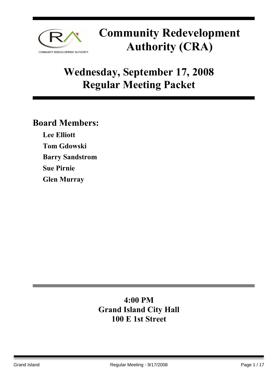

## **Wednesday, September 17, 2008 Regular Meeting Packet**

### **Board Members:**

**Lee Elliott Tom Gdowski Barry Sandstrom Sue Pirnie Glen Murray** 

### **4:00 PM Grand Island City Hall 100 E 1st Street**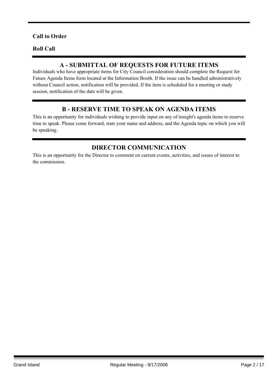#### **Call to Order**

#### **Roll Call**

#### **A - SUBMITTAL OF REQUESTS FOR FUTURE ITEMS**

Individuals who have appropriate items for City Council consideration should complete the Request for Future Agenda Items form located at the Information Booth. If the issue can be handled administratively without Council action, notification will be provided. If the item is scheduled for a meeting or study session, notification of the date will be given.

#### **B - RESERVE TIME TO SPEAK ON AGENDA ITEMS**

This is an opportunity for individuals wishing to provide input on any of tonight's agenda items to reserve time to speak. Please come forward, state your name and address, and the Agenda topic on which you will be speaking.

#### **DIRECTOR COMMUNICATION**

This is an opportunity for the Director to comment on current events, activities, and issues of interest to the commission.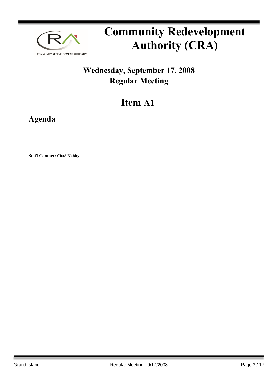

### **Wednesday, September 17, 2008 Regular Meeting**

## **Item A1**

**Agenda**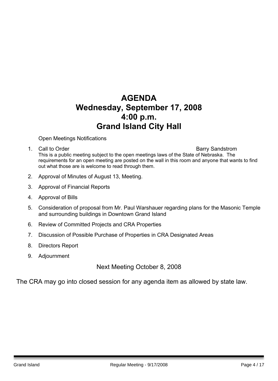### **AGENDA Wednesday, September 17, 2008 4:00 p.m. Grand Island City Hall**

Open Meetings Notifications

1. Call to Order **Barry Sandstrom** 

This is a public meeting subject to the open meetings laws of the State of Nebraska. The requirements for an open meeting are posted on the wall in this room and anyone that wants to find out what those are is welcome to read through them.

- 2. Approval of Minutes of August 13, Meeting.
- 3. Approval of Financial Reports
- 4. Approval of Bills
- 5. Consideration of proposal from Mr. Paul Warshauer regarding plans for the Masonic Temple and surrounding buildings in Downtown Grand Island
- 6. Review of Committed Projects and CRA Properties
- 7. Discussion of Possible Purchase of Properties in CRA Designated Areas
- 8. Directors Report
- 9. Adjournment

Next Meeting October 8, 2008

The CRA may go into closed session for any agenda item as allowed by state law.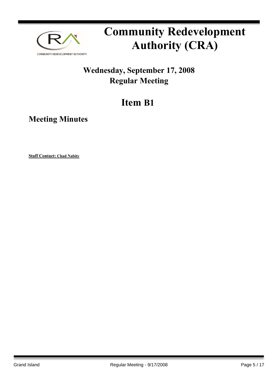

### **Wednesday, September 17, 2008 Regular Meeting**

## **Item B1**

**Meeting Minutes**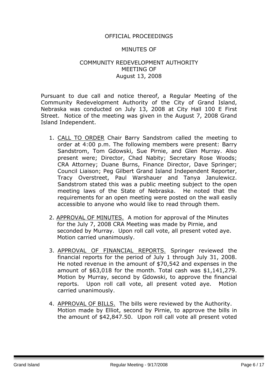#### OFFICIAL PROCEEDINGS

#### MINUTES OF

#### COMMUNITY REDEVELOPMENT AUTHORITY MEETING OF August 13, 2008

Pursuant to due call and notice thereof, a Regular Meeting of the Community Redevelopment Authority of the City of Grand Island, Nebraska was conducted on July 13, 2008 at City Hall 100 E First Street. Notice of the meeting was given in the August 7, 2008 Grand Island Independent.

- 1. CALL TO ORDER Chair Barry Sandstrom called the meeting to order at 4:00 p.m. The following members were present: Barry Sandstrom, Tom Gdowski, Sue Pirnie, and Glen Murray. Also present were; Director, Chad Nabity; Secretary Rose Woods; CRA Attorney; Duane Burns, Finance Director, Dave Springer; Council Liaison; Peg Gilbert Grand Island Independent Reporter, Tracy Overstreet, Paul Warshauer and Tanya Janulewicz. Sandstrom stated this was a public meeting subject to the open meeting laws of the State of Nebraska. He noted that the requirements for an open meeting were posted on the wall easily accessible to anyone who would like to read through them.
- 2. APPROVAL OF MINUTES. A motion for approval of the Minutes for the July 7, 2008 CRA Meeting was made by Pirnie, and seconded by Murray. Upon roll call vote, all present voted aye. Motion carried unanimously.
- 3. APPROVAL OF FINANCIAL REPORTS. Springer reviewed the financial reports for the period of July 1 through July 31, 2008. He noted revenue in the amount of \$70,542 and expenses in the amount of \$63,018 for the month. Total cash was \$1,141,279. Motion by Murray, second by Gdowski, to approve the financial reports. Upon roll call vote, all present voted aye. Motion carried unanimously.
- 4. APPROVAL OF BILLS. The bills were reviewed by the Authority. Motion made by Elliot, second by Pirnie, to approve the bills in the amount of \$42,847.50. Upon roll call vote all present voted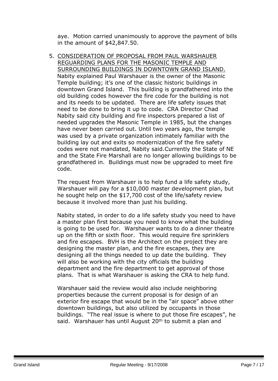aye. Motion carried unanimously to approve the payment of bills in the amount of \$42,847.50.

5. CONSIDERATION OF PROPOSAL FROM PAUL WARSHAUER REGUARDING PLANS FOR THE MASONIC TEMPLE AND SURROUNDING BUILDINGS IN DOWNTOWN GRAND ISLAND. Nabity explained Paul Warshauer is the owner of the Masonic Temple building; it's one of the classic historic buildings in downtown Grand Island. This building is grandfathered into the old building codes however the fire code for the building is not and its needs to be updated. There are life safety issues that need to be done to bring it up to code. CRA Director Chad Nabity said city building and fire inspectors prepared a list of needed upgrades the Masonic Temple in 1985, but the changes have never been carried out. Until two years ago, the temple was used by a private organization intimately familiar with the building lay out and exits so modernization of the fire safety codes were not mandated, Nabity said.Currently the State of NE and the State Fire Marshall are no longer allowing buildings to be grandfathered in. Buildings must now be upgraded to meet fire code.

The request from Warshauer is to help fund a life safety study, Warshauer will pay for a \$10,000 master development plan, but he sought help on the \$17,700 cost of the life/safety review because it involved more than just his building.

Nabity stated, in order to do a life safety study you need to have a master plan first because you need to know what the building is going to be used for. Warshauer wants to do a dinner theatre up on the fifth or sixth floor. This would require fire sprinklers and fire escapes. BVH is the Architect on the project they are designing the master plan, and the fire escapes, they are designing all the things needed to up date the building. They will also be working with the city officials the building department and the fire department to get approval of those plans. That is what Warshauer is asking the CRA to help fund.

Warshauer said the review would also include neighboring properties because the current proposal is for design of an exterior fire escape that would be in the "air space" above other downtown buildings, but also utilized by occupants in those buildings. "The real issue is where to put those fire escapes", he said. Warshauer has until August 20<sup>th</sup> to submit a plan and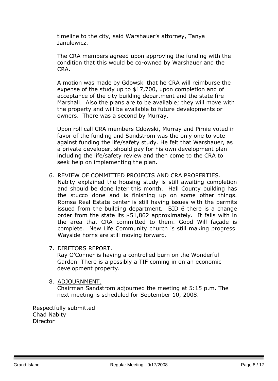timeline to the city, said Warshauer's attorney, Tanya Janulewicz.

The CRA members agreed upon approving the funding with the condition that this would be co-owned by Warshauer and the CRA.

A motion was made by Gdowski that he CRA will reimburse the expense of the study up to \$17,700, upon completion and of acceptance of the city building department and the state fire Marshall. Also the plans are to be available; they will move with the property and will be available to future developments or owners. There was a second by Murray.

Upon roll call CRA members Gdowski, Murray and Pirnie voted in favor of the funding and Sandstrom was the only one to vote against funding the life/safety study. He felt that Warshauer, as a private developer, should pay for his own development plan including the life/safety review and then come to the CRA to seek help on implementing the plan.

#### 6. REVIEW OF COMMITTED PROJECTS AND CRA PROPERTIES.

Nabity explained the housing study is still awaiting completion and should be done later this month. Hall County building has the stucco done and is finishing up on some other things. Romsa Real Estate center is still having issues with the permits issued from the building department. BID 6 there is a change order from the state its \$51,862 approximately. It falls with in the area that CRA committed to them. Good Will façade is complete. New Life Community church is still making progress. Wayside horns are still moving forward.

7. DIRETORS REPORT.

Ray O'Conner is having a controlled burn on the Wonderful Garden. There is a possibly a TIF coming in on an economic development property.

8. ADJOURNMENT.

Chairman Sandstrom adjourned the meeting at 5:15 p.m. The next meeting is scheduled for September 10, 2008.

Respectfully submitted Chad Nabity **Director**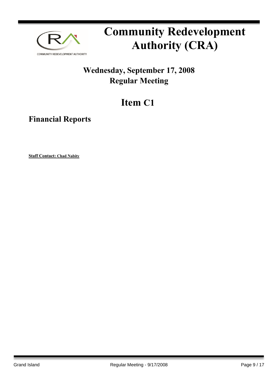

### **Wednesday, September 17, 2008 Regular Meeting**

## **Item C1**

**Financial Reports**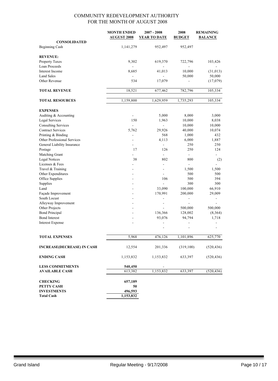|                                                     | <b>MONTH ENDED</b>       | $2007 - 2008$            | 2008                     | <b>REMAINING</b> |
|-----------------------------------------------------|--------------------------|--------------------------|--------------------------|------------------|
|                                                     | <b>AUGUST 2008</b>       | <b>YEAR TO DATE</b>      | <b>BUDGET</b>            | <b>BALANCE</b>   |
| <b>CONSOLIDATED</b>                                 |                          |                          |                          |                  |
| Beginning Cash                                      | 1,141,279                | 952,497                  | 952,497                  |                  |
| <b>REVENUE:</b>                                     |                          |                          |                          |                  |
| Property Taxes                                      | 9,302                    | 619,370                  | 722,796                  | 103,426          |
| Loan Proceeds                                       |                          |                          |                          |                  |
| Interest Income                                     | 8,685                    | 41,013                   | 10,000                   | (31, 013)        |
| <b>Land Sales</b>                                   |                          |                          | 50,000                   | 50,000           |
| Other Revenue                                       | 534                      | 17,079                   |                          | (17,079)         |
| <b>TOTAL REVENUE</b>                                | 18,521                   | 677,462                  | 782,796                  | 105,334          |
| <b>TOTAL RESOURCES</b>                              | 1,159,800                | 1,629,959                | 1,735,293                | 105,334          |
|                                                     |                          |                          |                          |                  |
| <b>EXPENSES</b>                                     |                          |                          |                          |                  |
| Auditing & Accounting                               |                          | 5,000                    | 8,000                    | 3,000            |
| <b>Legal Services</b><br><b>Consulting Services</b> | 150<br>$\blacksquare$    | 1,963<br>÷,              | 10,000<br>10,000         | 8,038<br>10,000  |
| <b>Contract Services</b>                            | 5,762                    | 29,926                   | 40,000                   | 10,074           |
| Printing & Binding                                  | $\overline{\phantom{a}}$ | 568                      | 1,000                    | 432              |
| Other Professional Services                         |                          | 4,113                    | 6,000                    | 1,887            |
| General Liability Insurance                         |                          | $\overline{\phantom{a}}$ | 250                      | 250              |
| Postage                                             | 17                       | 126                      | 250                      | 124              |
| Matching Grant                                      |                          | ÷,                       | $\blacksquare$           | ÷.               |
| <b>Legal Notices</b>                                | 38                       | 802                      | 800                      | (2)              |
| Licenses & Fees                                     |                          |                          |                          |                  |
| Travel & Training                                   |                          | $\sim$                   | 1,500                    | 1,500            |
| Other Expenditures                                  |                          |                          | 500                      | 500              |
| Office Supplies                                     |                          | 106                      | 500                      | 394              |
| Supplies                                            |                          |                          | 300                      | 300              |
| Land                                                |                          | 33,090                   | 100,000                  | 66,910           |
| Façade Improvement                                  |                          | 170,991                  | 200,000                  | 29,009           |
| South Locust                                        |                          | $\overline{\phantom{a}}$ | $\overline{\phantom{a}}$ |                  |
| Alleyway Improvement                                | ۰                        | $\overline{\phantom{a}}$ | ÷.                       |                  |
| Other Projects                                      |                          |                          | 500,000                  | 500,000          |
| <b>Bond Principal</b>                               |                          | 136,366                  | 128,002                  | (8,364)          |
| <b>Bond Interest</b>                                |                          | 93,076                   | 94,794                   | 1,718            |
| <b>Interest Expense</b>                             |                          |                          |                          |                  |
|                                                     |                          | $\overline{a}$           | $\overline{\phantom{a}}$ |                  |
| <b>TOTAL EXPENSES</b>                               | 5,968                    | 476,126                  | 1,101,896                | 625,770          |
| <b>INCREASE(DECREASE) IN CASH</b>                   | 12,554                   | 201,336                  | (319,100)                | (520, 436)       |
| <b>ENDING CASH</b>                                  | 1,153,832                | 1,153,832                | 633,397                  | (520, 436)       |
| <b>LESS COMMITMENTS</b>                             | 540,450                  |                          |                          |                  |
| <b>AVAILABLE CASH</b>                               | 613,382                  | 1,153,832                | 633,397                  | (520, 436)       |
|                                                     |                          |                          |                          |                  |
| <b>CHECKING</b>                                     | 657,189                  |                          |                          |                  |
| PETTY CASH                                          | 50                       |                          |                          |                  |
| <b>INVESTMENTS</b>                                  | 496,593                  |                          |                          |                  |
| <b>Total Cash</b>                                   | 1,153,832                |                          |                          |                  |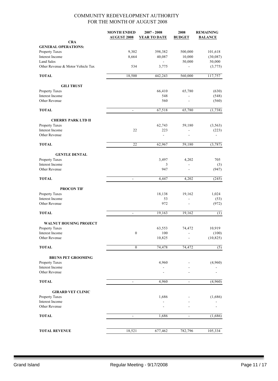|                                   | <b>MONTH ENDED</b><br><b>AUGUST 2008</b> | $2007 - 2008$<br><b>YEAR TO DATE</b> | 2008<br><b>BUDGET</b>    | <b>REMAINING</b><br><b>BALANCE</b> |
|-----------------------------------|------------------------------------------|--------------------------------------|--------------------------|------------------------------------|
| <b>CRA</b>                        |                                          |                                      |                          |                                    |
| <b>GENERAL OPERATIONS:</b>        |                                          |                                      |                          |                                    |
| Property Taxes                    | 9,302                                    | 398,382                              | 500,000                  | 101,618                            |
| Interest Income                   | 8,664                                    | 40,087                               | 10,000                   | (30,087)                           |
| <b>Land Sales</b>                 |                                          |                                      | 50,000                   | 50,000                             |
| Other Revenue & Motor Vehicle Tax | 534                                      | 3,775                                |                          | (3,775)                            |
| <b>TOTAL</b>                      | 18,500                                   | 442,243                              | 560,000                  | 117,757                            |
| <b>GILI TRUST</b>                 |                                          |                                      |                          |                                    |
| Property Taxes                    |                                          | 66,410                               | 65,780                   | (630)                              |
| Interest Income                   |                                          | 548                                  |                          | (548)                              |
| Other Revenue                     |                                          | 560                                  |                          | (560)                              |
| <b>TOTAL</b>                      | $\blacksquare$                           | 67,518                               | 65,780                   | (1, 738)                           |
| <b>CHERRY PARK LTD II</b>         |                                          |                                      |                          |                                    |
| Property Taxes                    |                                          | 62,743                               | 59,180                   | (3, 563)                           |
| Interest Income                   | 22                                       | 223                                  | $\overline{a}$           | (223)                              |
| Other Revenue                     |                                          | $\blacksquare$                       |                          |                                    |
| <b>TOTAL</b>                      | 22                                       | 62,967                               | 59,180                   | (3,787)                            |
| <b>GENTLE DENTAL</b>              |                                          |                                      |                          |                                    |
| Property Taxes                    |                                          | 3,497                                | 4,202                    | 705                                |
| Interest Income                   |                                          | 3                                    |                          | (3)                                |
| Other Revenue                     |                                          | 947                                  |                          | (947)                              |
| <b>TOTAL</b>                      | $\overline{\phantom{a}}$                 | 4,447                                | 4,202                    | (245)                              |
| <b>PROCON TIF</b>                 |                                          |                                      |                          |                                    |
| Property Taxes                    |                                          | 18,138                               | 19,162                   | 1,024                              |
| Interest Income                   |                                          | 53                                   |                          | (53)                               |
| Other Revenue                     |                                          | 972                                  | $\overline{a}$           | (972)                              |
| <b>TOTAL</b>                      | $\blacksquare$                           | 19,163                               | 19,162                   | (1)                                |
| <b>WALNUT HOUSING PROJECT</b>     |                                          |                                      |                          |                                    |
| Property Taxes                    |                                          | 63,553                               | 74,472                   | 10,919                             |
| Interest Income                   | $\boldsymbol{0}$                         | 100                                  |                          | (100)                              |
| Other Revenue                     |                                          | 10,825                               |                          | (10, 825)                          |
| <b>TOTAL</b>                      | $\boldsymbol{0}$                         | 74,478                               | 74,472                   | (5)                                |
| <b>BRUNS PET GROOMING</b>         |                                          |                                      |                          |                                    |
| Property Taxes                    |                                          | 4,960                                |                          | (4,960)                            |
| Interest Income                   |                                          |                                      |                          |                                    |
| Other Revenue                     |                                          |                                      |                          |                                    |
| <b>TOTAL</b>                      | $\blacksquare$                           | 4,960                                | $\overline{\phantom{a}}$ | (4,960)                            |
| <b>GIRARD VET CLINIC</b>          |                                          |                                      |                          |                                    |
| Property Taxes                    |                                          | 1,686                                |                          | (1,686)                            |
| Interest Income                   |                                          |                                      |                          |                                    |
| Other Revenue                     |                                          |                                      |                          |                                    |
| <b>TOTAL</b>                      |                                          | 1,686                                |                          | (1,686)                            |
|                                   |                                          |                                      |                          |                                    |
| <b>TOTAL REVENUE</b>              | 18,521                                   | 677,462                              | 782,796                  | 105,334                            |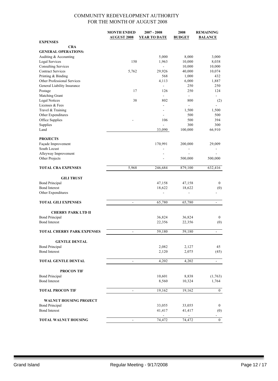|                                   | <b>MONTH ENDED</b>           | $2007 - 2008$            | 2008           | <b>REMAINING</b>         |
|-----------------------------------|------------------------------|--------------------------|----------------|--------------------------|
|                                   | <b>AUGUST 2008</b>           | <b>YEAR TO DATE</b>      | <b>BUDGET</b>  | <b>BALANCE</b>           |
| <b>EXPENSES</b>                   |                              |                          |                |                          |
| <b>CRA</b>                        |                              |                          |                |                          |
| <b>GENERAL OPERATIONS:</b>        |                              |                          |                |                          |
| Auditing & Accounting             |                              | 5,000                    | 8,000          | 3,000                    |
| Legal Services                    | 150                          | 1,963                    | 10,000         | 8,038                    |
| <b>Consulting Services</b>        |                              | ä,                       | 10,000         | 10,000                   |
| <b>Contract Services</b>          | 5,762                        | 29,926                   | 40,000         | 10,074                   |
|                                   |                              | 568                      |                | 432                      |
| Printing & Binding                |                              |                          | 1,000          |                          |
| Other Professional Services       |                              | 4,113                    | 6,000          | 1,887                    |
| General Liability Insurance       |                              | $\overline{a}$           | 250            | 250                      |
| Postage                           | 17                           | 126                      | 250            | 124                      |
| Matching Grant                    |                              | $\overline{\phantom{a}}$ | $\blacksquare$ | ۰                        |
| <b>Legal Notices</b>              | 38                           | 802                      | 800            | (2)                      |
| Licenses & Fees                   |                              | $\overline{a}$           | ä,             |                          |
| Travel & Training                 |                              |                          | 1,500          | 1,500                    |
| Other Expenditures                |                              |                          | 500            | 500                      |
| Office Supplies                   |                              | 106                      | 500            | 394                      |
| Supplies                          |                              | $\overline{a}$           | 300            | 300                      |
| Land                              |                              | 33,090                   | 100,000        | 66,910                   |
|                                   |                              |                          |                |                          |
| <b>PROJECTS</b>                   |                              |                          |                |                          |
| Façade Improvement                |                              | 170,991                  | 200,000        | 29,009                   |
| South Locust                      |                              |                          | $\overline{a}$ |                          |
|                                   |                              |                          |                |                          |
| Alleyway Improvement              |                              |                          |                |                          |
| Other Projects                    |                              |                          | 500,000        | 500,000                  |
|                                   |                              |                          |                |                          |
| <b>TOTAL CRA EXPENSES</b>         | 5,968                        | 246,684                  | 879,100        | 632,416                  |
|                                   |                              |                          |                |                          |
| <b>GILI TRUST</b>                 |                              |                          |                |                          |
| <b>Bond Principal</b>             |                              | 47,158                   | 47,158         | $\bf{0}$                 |
| <b>Bond Interest</b>              |                              | 18,622                   | 18,622         | (0)                      |
| Other Expenditures                |                              | L,                       | $\overline{a}$ |                          |
|                                   |                              |                          |                |                          |
| <b>TOTAL GILI EXPENSES</b>        | $\overline{\phantom{a}}$     | 65,780                   | 65,780         | $\overline{\phantom{a}}$ |
|                                   |                              |                          |                |                          |
| <b>CHERRY PARK LTD II</b>         |                              |                          |                |                          |
| <b>Bond Principal</b>             |                              | 36,824                   | 36,824         | $\bf{0}$                 |
| <b>Bond Interest</b>              |                              | 22,356                   | 22,356         | (0)                      |
|                                   |                              |                          |                |                          |
| <b>TOTAL CHERRY PARK EXPENSES</b> |                              | 59,180                   | 59,180         |                          |
|                                   | $\overline{a}$               |                          |                |                          |
|                                   |                              |                          |                |                          |
| <b>GENTLE DENTAL</b>              |                              |                          |                |                          |
| <b>Bond Principal</b>             |                              | 2,082                    | 2,127          | 45                       |
| <b>Bond Interest</b>              |                              | 2,120                    | 2,075          | (45)                     |
|                                   |                              |                          |                |                          |
| <b>TOTAL GENTLE DENTAL</b>        | $\blacksquare$               | 4,202                    | 4,202          | $\blacksquare$           |
|                                   |                              |                          |                |                          |
| <b>PROCON TIF</b>                 |                              |                          |                |                          |
| <b>Bond Principal</b>             |                              | 10,601                   | 8,838          | (1, 763)                 |
| <b>Bond Interest</b>              |                              | 8,560                    | 10,324         | 1,764                    |
|                                   |                              |                          |                |                          |
| <b>TOTAL PROCON TIF</b>           | $\overline{\phantom{a}}$     | 19,162                   | 19,162         | $\boldsymbol{0}$         |
|                                   |                              |                          |                |                          |
|                                   |                              |                          |                |                          |
| <b>WALNUT HOUSING PROJECT</b>     |                              |                          |                |                          |
| <b>Bond Principal</b>             |                              | 33,055                   | 33,055         | $\bf{0}$                 |
| <b>Bond Interest</b>              |                              | 41,417                   | 41,417         | (0)                      |
|                                   |                              |                          |                | $\blacksquare$           |
| <b>TOTAL WALNUT HOUSING</b>       | $\qquad \qquad \blacksquare$ | 74,472                   | 74,472         | $\boldsymbol{0}$         |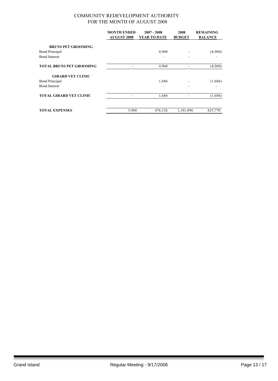|                                 | <b>MONTH ENDED</b><br><b>AUGUST 2008</b> | $2007 - 2008$<br>YEAR TO DATE | 2008<br><b>BUDGET</b> | <b>REMAINING</b><br><b>BALANCE</b> |
|---------------------------------|------------------------------------------|-------------------------------|-----------------------|------------------------------------|
| <b>BRUNS PET GROOMING</b>       |                                          |                               |                       |                                    |
| <b>Bond Principal</b>           |                                          | 4,960                         |                       | (4,960)                            |
| <b>Bond Interest</b>            |                                          |                               |                       |                                    |
| <b>TOTAL BRUNS PET GROOMING</b> |                                          | 4,960                         |                       | (4,960)                            |
| <b>GIRARD VET CLINIC</b>        |                                          |                               |                       |                                    |
| <b>Bond Principal</b>           |                                          | 1,686                         |                       | (1,686)                            |
| <b>Bond Interest</b>            |                                          | -                             |                       |                                    |
| <b>TOTAL GIRARD VET CLINIC</b>  |                                          | 1,686                         |                       | (1,686)                            |
| <b>TOTAL EXPENSES</b>           | 5,968                                    | 476,126                       | 1,101,896             | 625,770                            |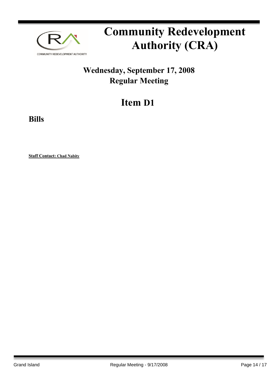

### **Wednesday, September 17, 2008 Regular Meeting**

## **Item D1**

**Bills**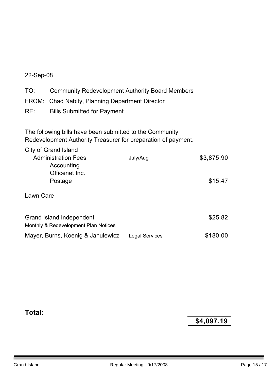#### 22-Sep-08

| TO: | <b>Community Redevelopment Authority Board Members</b> |
|-----|--------------------------------------------------------|
|     | FROM: Chad Nabity, Planning Department Director        |
| RE: | <b>Bills Submitted for Payment</b>                     |

The following bills have been submitted to the Community Redevelopment Authority Treasurer for preparation of payment.

| City of Grand Island<br><b>Administration Fees</b><br>Accounting<br>Officenet Inc.<br>Postage | July/Aug              | \$3,875.90<br>\$15.47 |
|-----------------------------------------------------------------------------------------------|-----------------------|-----------------------|
| Lawn Care                                                                                     |                       |                       |
| Grand Island Independent<br>Monthly & Redevelopment Plan Notices                              |                       | \$25.82               |
| Mayer, Burns, Koenig & Janulewicz                                                             | <b>Legal Services</b> | \$180.00              |

**Total:**

**\$4,097.19**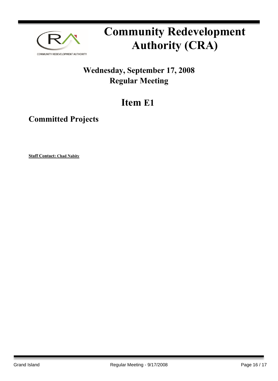

### **Wednesday, September 17, 2008 Regular Meeting**

## **Item E1**

**Committed Projects**